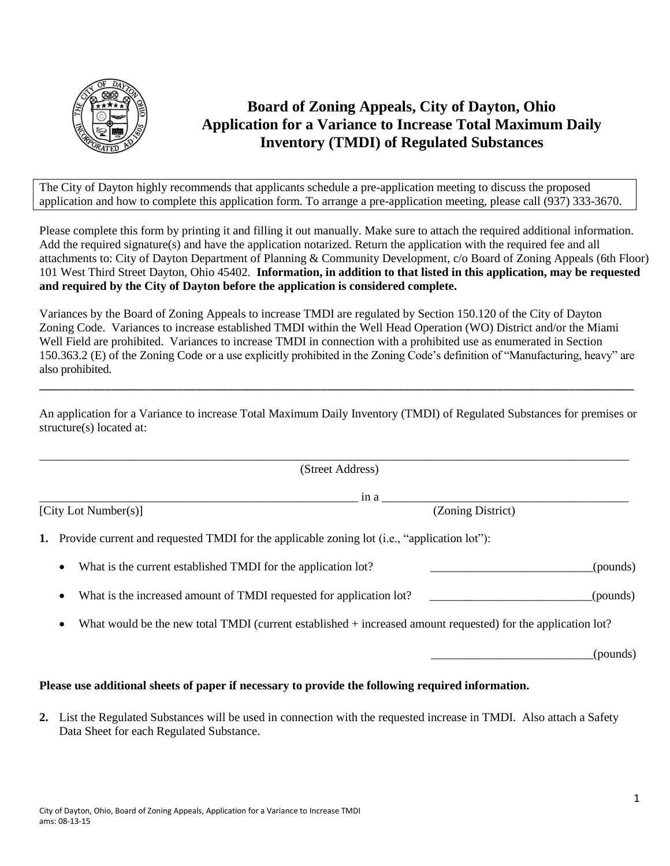

## **Board of Zoning Appeals, City of Dayton, Ohio Application for a Variance to Increase Total Maximum Daily Inventory (TMDI) of Regulated Substances**

The City of Dayton highly recommends that applicants schedule a pre-application meeting to discuss the proposed application and how to complete this application form. To arrange a pre-application meeting, please call (937) 333-3670.

Please complete this form by printing it and filling it out manually. Make sure to attach the required additional information. Add the required signature(s) and have the application notarized. Return the application with the required fee and all attachments to: City of Dayton Department of Planning & Community Development, c/o Board of Zoning Appeals (6th Floor) 101 West Third Street Dayton, Ohio 45402. **Information, in addition to that listed in this application, may be requested and required by the City of Dayton before the application is considered complete.**

Variances by the Board of Zoning Appeals to increase TMDI are regulated by Section 150.120 of the City of Dayton Zoning Code. Variances to increase established TMDI within the Well Head Operation (WO) District and/or the Miami Well Field are prohibited. Variances to increase TMDI in connection with a prohibited use as enumerated in Section 150.363.2 (E) of the Zoning Code or a use explicitly prohibited in the Zoning Code's definition of "Manufacturing, heavy" are also prohibited.

An application for a Variance to increase Total Maximum Daily Inventory (TMDI) of Regulated Substances for premises or structure(s) located at:

\_\_\_\_\_\_\_\_\_\_\_\_\_\_\_\_\_\_\_\_\_\_\_\_\_\_\_\_\_\_\_\_\_\_\_\_\_\_\_\_\_\_\_\_\_\_\_\_\_\_\_\_\_\_\_\_\_\_\_\_\_\_\_\_\_\_\_\_\_\_\_\_\_\_\_\_\_\_\_\_\_\_\_\_\_\_\_\_\_\_\_

\_\_\_\_\_\_\_\_\_\_\_\_\_\_\_\_\_\_\_\_\_\_\_\_\_\_\_\_\_\_\_\_\_\_\_\_\_\_\_\_\_\_\_\_\_\_\_\_\_\_\_\_\_\_\_\_\_\_\_\_\_\_\_\_\_\_\_\_\_\_\_\_\_\_\_\_\_\_\_\_\_\_\_\_\_\_\_\_\_\_\_\_\_\_\_\_\_\_ (Street Address)

 $\pm$  in a  $\_$   $\pm$   $\_$   $\pm$   $\_$   $\pm$   $\_$   $\pm$   $\_$   $\pm$   $\_$   $\pm$   $\_$   $\pm$   $\_$   $\pm$   $\_$   $\pm$   $\_$   $\pm$   $\_$   $\pm$   $\_$   $\pm$   $\_$   $\pm$   $\_$   $\pm$   $\_$   $\pm$   $\_$   $\pm$   $\_$   $\pm$   $\_$   $\pm$   $\_$   $\pm$   $\_$   $\pm$   $\_$   $\pm$   $\_$   $\pm$   $\_$   $\pm$   $\_$ 

[City Lot Number(s)] (Zoning District)

**1.** Provide current and requested TMDI for the applicable zoning lot (i.e., "application lot"):

- What is the current established TMDI for the application lot?  $\qquad \qquad$  (pounds)
- What is the increased amount of TMDI requested for application lot? \_\_\_\_\_\_\_\_\_\_\_\_\_\_\_\_\_\_\_\_\_\_\_\_\_\_\_\_\_\_\_\_(pounds)
- What would be the new total TMDI (current established + increased amount requested) for the application lot?

 $\overline{\phantom{a}}$  (pounds)

## **Please use additional sheets of paper if necessary to provide the following required information.**

**2.** List the Regulated Substances will be used in connection with the requested increase in TMDI. Also attach a Safety Data Sheet for each Regulated Substance.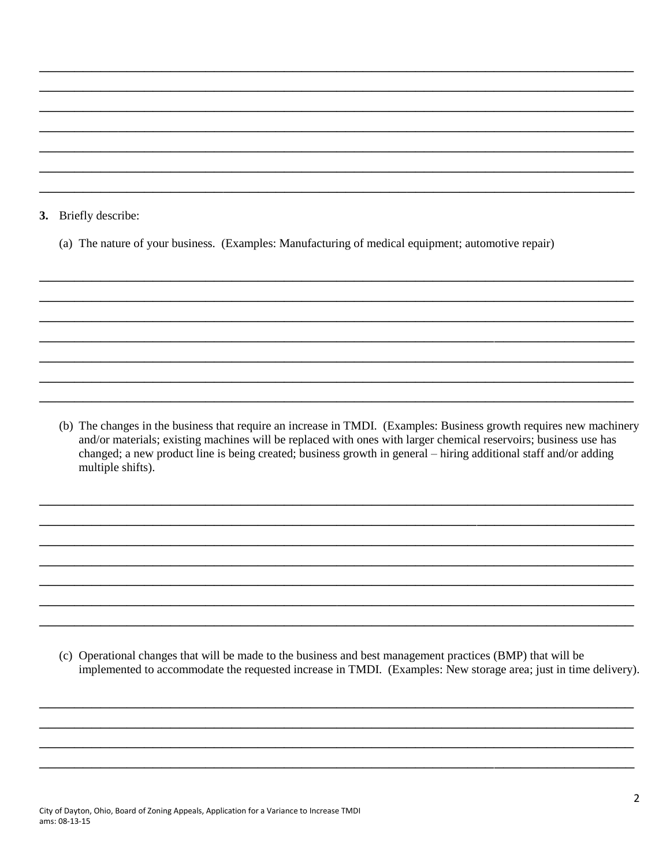3. Briefly describe:

(a) The nature of your business. (Examples: Manufacturing of medical equipment; automotive repair)

(b) The changes in the business that require an increase in TMDI. (Examples: Business growth requires new machinery and/or materials; existing machines will be replaced with ones with larger chemical reservoirs; business use has changed; a new product line is being created; business growth in general – hiring additional staff and/or adding multiple shifts).

(c) Operational changes that will be made to the business and best management practices (BMP) that will be implemented to accommodate the requested increase in TMDI. (Examples: New storage area; just in time delivery).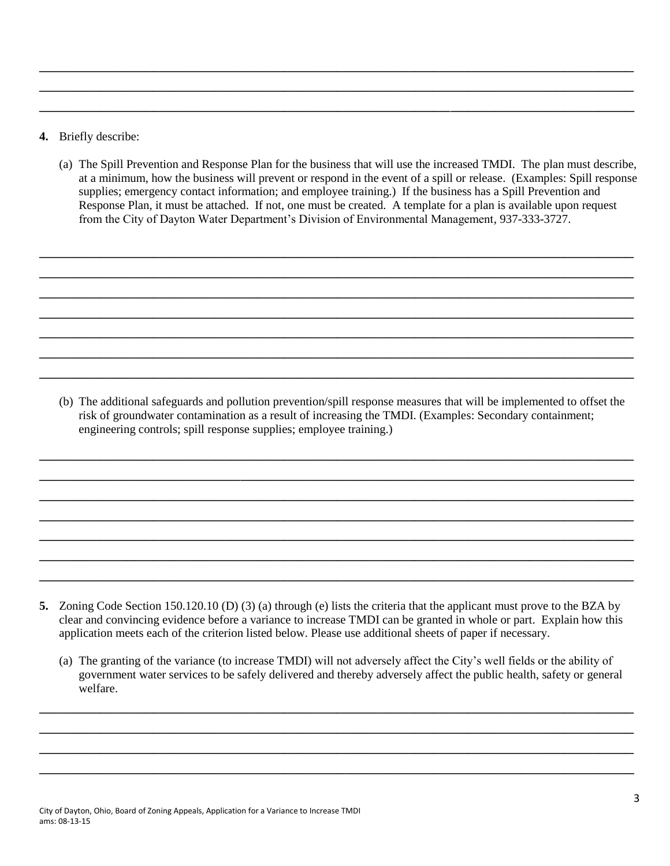- **4.** Briefly describe:
	- (a) The Spill Prevention and Response Plan for the business that will use the increased TMDI. The plan must describe, at a minimum, how the business will prevent or respond in the event of a spill or release. (Examples: Spill response supplies; emergency contact information; and employee training.) If the business has a Spill Prevention and Response Plan, it must be attached. If not, one must be created. A template for a plan is available upon request from the City of Dayton Water Department's Division of Environmental Management, 937-333-3727.

 $\overline{\phantom{a}}$  , and the contract of the contract of the contract of the contract of the contract of the contract of the contract of the contract of the contract of the contract of the contract of the contract of the contrac  $\overline{\phantom{a}}$  , and the contract of the contract of the contract of the contract of the contract of the contract of the contract of the contract of the contract of the contract of the contract of the contract of the contrac \_\_\_\_\_\_\_\_\_\_\_\_\_\_\_\_\_\_\_\_\_\_\_\_\_\_\_\_\_\_\_\_\_\_\_\_\_\_\_\_\_\_\_\_\_\_\_\_\_\_\_\_\_\_\_\_\_\_\_\_\_\_\_\_\_\_\_\_ \_\_\_\_\_\_\_\_\_\_\_\_\_\_\_\_\_\_\_\_\_\_\_\_\_\_\_\_\_\_\_\_\_\_\_\_\_\_\_\_\_\_\_\_\_\_\_\_\_\_\_\_\_\_\_\_\_\_\_\_\_\_\_\_\_\_\_\_ \_\_\_\_\_\_\_\_\_\_\_\_\_\_\_\_\_\_\_\_\_\_\_\_\_\_\_\_\_\_\_\_\_\_\_\_\_\_\_\_\_\_\_\_\_\_\_\_\_\_\_\_\_\_\_\_\_\_\_\_\_\_\_\_\_\_\_\_ \_\_\_\_\_\_\_\_\_\_\_\_\_\_\_\_\_\_\_\_\_\_\_\_\_\_\_\_\_\_\_\_\_\_\_\_\_\_\_\_\_\_\_\_\_\_\_\_\_\_\_\_\_\_\_\_\_\_\_\_\_\_\_\_\_\_\_\_ \_\_\_\_\_\_\_\_\_\_\_\_\_\_\_\_\_\_\_\_\_\_\_\_\_\_\_\_\_\_\_\_\_\_\_\_\_\_\_\_\_\_\_\_\_\_\_\_\_\_\_\_\_\_\_\_\_\_\_\_\_\_\_\_\_\_\_\_

\_\_\_\_\_\_\_\_\_\_\_\_\_\_\_\_\_\_\_\_\_\_\_\_\_\_\_\_\_\_\_\_\_\_\_\_\_\_\_\_\_\_\_\_\_\_\_\_\_\_\_\_\_\_\_\_\_\_\_\_\_\_\_\_\_\_\_\_ \_\_\_\_\_\_\_\_\_\_\_\_\_\_\_\_\_\_\_\_\_\_\_\_\_\_\_\_\_\_\_\_\_\_\_\_\_\_\_\_\_\_\_\_\_\_\_\_\_\_\_\_\_\_\_\_\_\_\_\_\_\_\_\_\_\_\_\_  $\overline{\phantom{a}}$  , and the contract of the contract of the contract of the contract of the contract of the contract of the contract of the contract of the contract of the contract of the contract of the contract of the contrac

(b) The additional safeguards and pollution prevention/spill response measures that will be implemented to offset the risk of groundwater contamination as a result of increasing the TMDI. (Examples: Secondary containment; engineering controls; spill response supplies; employee training.)

\_\_\_\_\_\_\_\_\_\_\_\_\_\_\_\_\_\_\_\_\_\_\_\_\_\_\_\_\_\_\_\_\_\_\_\_\_\_\_\_\_\_\_\_\_\_\_\_\_\_\_\_\_\_\_\_\_\_\_\_\_\_\_\_\_\_\_\_  $\overline{\phantom{a}}$  , and the contract of the contract of the contract of the contract of the contract of the contract of the contract of the contract of the contract of the contract of the contract of the contract of the contrac \_\_\_\_\_\_\_\_\_\_\_\_\_\_\_\_\_\_\_\_\_\_\_\_\_\_\_\_\_\_\_\_\_\_\_\_\_\_\_\_\_\_\_\_\_\_\_\_\_\_\_\_\_\_\_\_\_\_\_\_\_\_\_\_\_\_\_\_ \_\_\_\_\_\_\_\_\_\_\_\_\_\_\_\_\_\_\_\_\_\_\_\_\_\_\_\_\_\_\_\_\_\_\_\_\_\_\_\_\_\_\_\_\_\_\_\_\_\_\_\_\_\_\_\_\_\_\_\_\_\_\_\_\_\_\_\_ \_\_\_\_\_\_\_\_\_\_\_\_\_\_\_\_\_\_\_\_\_\_\_\_\_\_\_\_\_\_\_\_\_\_\_\_\_\_\_\_\_\_\_\_\_\_\_\_\_\_\_\_\_\_\_\_\_\_\_\_\_\_\_\_\_\_\_\_ \_\_\_\_\_\_\_\_\_\_\_\_\_\_\_\_\_\_\_\_\_\_\_\_\_\_\_\_\_\_\_\_\_\_\_\_\_\_\_\_\_\_\_\_\_\_\_\_\_\_\_\_\_\_\_\_\_\_\_\_\_\_\_\_\_\_\_\_  $\overline{\phantom{a}}$  , and the contract of the contract of the contract of the contract of the contract of the contract of the contract of the contract of the contract of the contract of the contract of the contract of the contrac

- **5.** Zoning Code Section 150.120.10 (D) (3) (a) through (e) lists the criteria that the applicant must prove to the BZA by clear and convincing evidence before a variance to increase TMDI can be granted in whole or part. Explain how this application meets each of the criterion listed below. Please use additional sheets of paper if necessary.
	- (a) The granting of the variance (to increase TMDI) will not adversely affect the City's well fields or the ability of government water services to be safely delivered and thereby adversely affect the public health, safety or general welfare.

 $\overline{\phantom{a}}$  , and the contract of the contract of the contract of the contract of the contract of the contract of the contract of the contract of the contract of the contract of the contract of the contract of the contrac  $\overline{\phantom{a}}$  , and the contract of the contract of the contract of the contract of the contract of the contract of the contract of the contract of the contract of the contract of the contract of the contract of the contrac \_\_\_\_\_\_\_\_\_\_\_\_\_\_\_\_\_\_\_\_\_\_\_\_\_\_\_\_\_\_\_\_\_\_\_\_\_\_\_\_\_\_\_\_\_\_\_\_\_\_\_\_\_\_\_\_\_\_\_\_\_\_\_\_\_\_\_\_ \_\_\_\_\_\_\_\_\_\_\_\_\_\_\_\_\_\_\_\_\_\_\_\_\_\_\_\_\_\_\_\_\_\_\_\_\_\_\_\_\_\_\_\_\_\_\_\_\_\_\_\_\_\_\_\_\_\_\_\_\_\_\_\_\_\_\_\_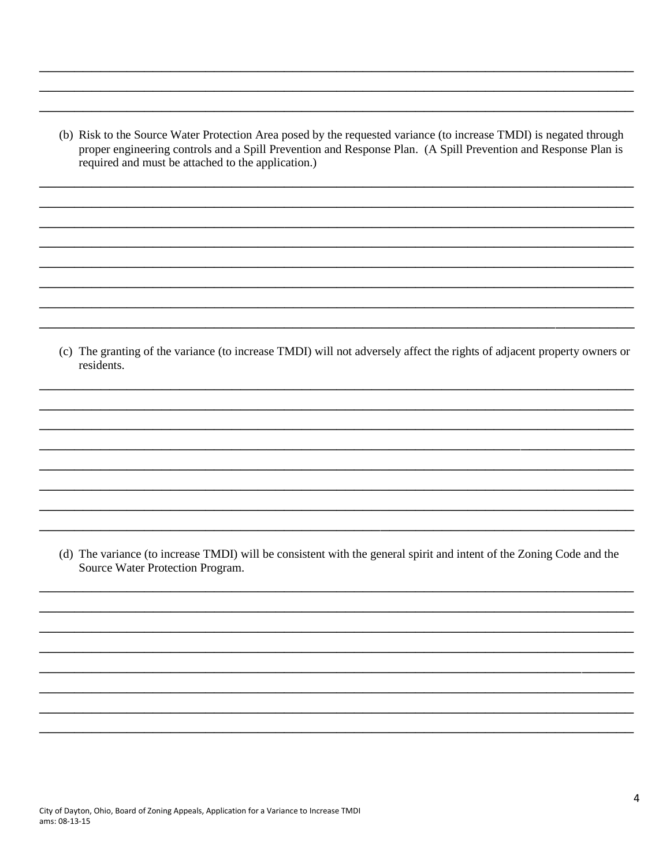(b) Risk to the Source Water Protection Area posed by the requested variance (to increase TMDI) is negated through proper engineering controls and a Spill Prevention and Response Plan. (A Spill Prevention and Response Plan is required and must be attached to the application.)

(c) The granting of the variance (to increase TMDI) will not adversely affect the rights of adjacent property owners or residents.

(d) The variance (to increase TMDI) will be consistent with the general spirit and intent of the Zoning Code and the Source Water Protection Program.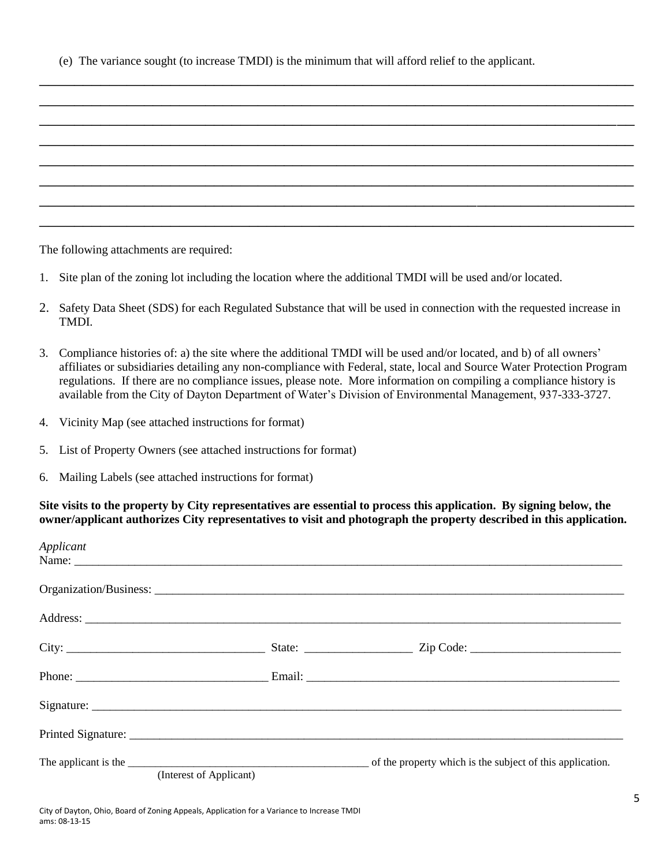| (e) The variance sought (to increase TMDI) is the minimum that will afford relief to the applicant. |  |  |
|-----------------------------------------------------------------------------------------------------|--|--|
|                                                                                                     |  |  |

\_\_\_\_\_\_\_\_\_\_\_\_\_\_\_\_\_\_\_\_\_\_\_\_\_\_\_\_\_\_\_\_\_\_\_\_\_\_\_\_\_\_\_\_\_\_\_\_\_\_\_\_\_\_\_\_\_\_\_\_\_\_\_\_\_\_\_\_  $\overline{\phantom{a}}$  , and the contract of the contract of the contract of the contract of the contract of the contract of the contract of the contract of the contract of the contract of the contract of the contract of the contrac  $\overline{a_1}$  ,  $\overline{a_2}$  ,  $\overline{a_3}$  ,  $\overline{a_4}$  ,  $\overline{a_5}$  ,  $\overline{a_6}$  ,  $\overline{a_7}$  ,  $\overline{a_8}$  ,  $\overline{a_9}$  ,  $\overline{a_9}$  ,  $\overline{a_9}$  ,  $\overline{a_9}$  ,  $\overline{a_9}$  ,  $\overline{a_9}$  ,  $\overline{a_9}$  ,  $\overline{a_9}$  ,  $\overline{a_9}$  ,  $\overline{\phantom{a}}$  , and the contract of the contract of the contract of the contract of the contract of the contract of the contract of the contract of the contract of the contract of the contract of the contract of the contrac \_\_\_\_\_\_\_\_\_\_\_\_\_\_\_\_\_\_\_\_\_\_\_\_\_\_\_\_\_\_\_\_\_\_\_\_\_\_\_\_\_\_\_\_\_\_\_\_\_\_\_\_\_\_\_\_\_\_\_\_\_\_\_\_\_\_\_\_ \_\_\_\_\_\_\_\_\_\_\_\_\_\_\_\_\_\_\_\_\_\_\_\_\_\_\_\_\_\_\_\_\_\_\_\_\_\_\_\_\_\_\_\_\_\_\_\_\_\_\_\_\_\_\_\_\_\_\_\_\_\_\_\_\_\_\_\_ \_\_\_\_\_\_\_\_\_\_\_\_\_\_\_\_\_\_\_\_\_\_\_\_\_\_\_\_\_\_\_\_\_\_\_\_\_\_\_\_\_\_\_\_\_\_\_\_\_\_\_\_\_\_\_\_\_\_\_\_\_\_\_\_\_\_\_\_  $\overline{\phantom{a}}$  , and the contract of the contract of the contract of the contract of the contract of the contract of the contract of the contract of the contract of the contract of the contract of the contract of the contrac

| The following attachments are required: |  |
|-----------------------------------------|--|
|                                         |  |

- 1. Site plan of the zoning lot including the location where the additional TMDI will be used and/or located.
- 2. Safety Data Sheet (SDS) for each Regulated Substance that will be used in connection with the requested increase in TMDI.
- 3. Compliance histories of: a) the site where the additional TMDI will be used and/or located, and b) of all owners' affiliates or subsidiaries detailing any non-compliance with Federal, state, local and Source Water Protection Program regulations. If there are no compliance issues, please note. More information on compiling a compliance history is available from the City of Dayton Department of Water's Division of Environmental Management, 937-333-3727.
- 4. Vicinity Map (see attached instructions for format)
- 5. List of Property Owners (see attached instructions for format)
- 6. Mailing Labels (see attached instructions for format)

## **Site visits to the property by City representatives are essential to process this application. By signing below, the owner/applicant authorizes City representatives to visit and photograph the property described in this application.**

| Applicant               |                                                           |
|-------------------------|-----------------------------------------------------------|
|                         |                                                           |
|                         |                                                           |
|                         |                                                           |
|                         | Phone: Email: Email:                                      |
|                         |                                                           |
|                         |                                                           |
| (Interest of Applicant) | of the property which is the subject of this application. |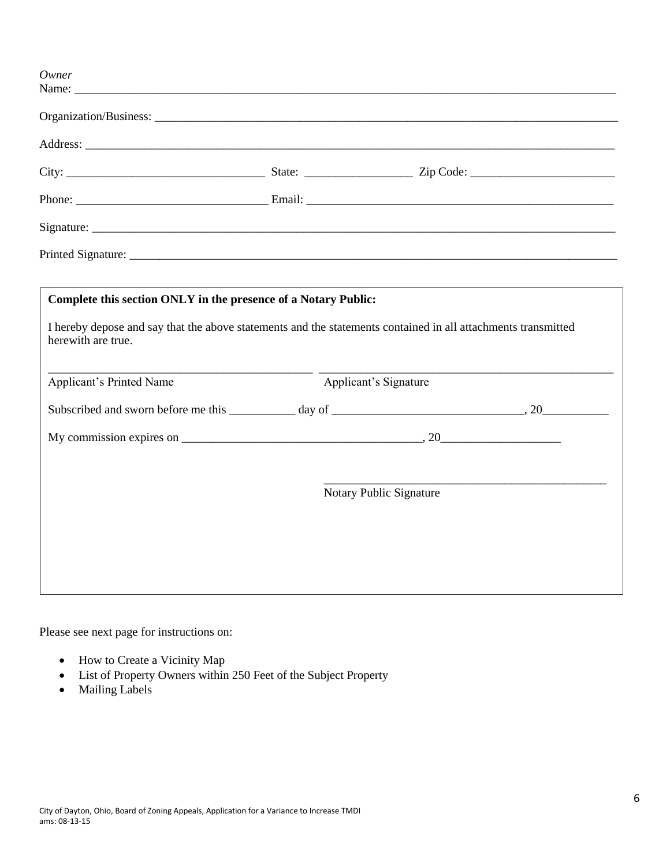| Owner                                                          |                         |
|----------------------------------------------------------------|-------------------------|
|                                                                |                         |
|                                                                |                         |
|                                                                |                         |
|                                                                |                         |
|                                                                |                         |
|                                                                |                         |
|                                                                |                         |
|                                                                |                         |
| Complete this section ONLY in the presence of a Notary Public: |                         |
| herewith are true.<br>Applicant's Printed Name                 | Applicant's Signature   |
|                                                                |                         |
|                                                                |                         |
|                                                                |                         |
|                                                                | Notary Public Signature |
|                                                                |                         |
|                                                                |                         |
|                                                                |                         |
|                                                                |                         |
|                                                                |                         |

Please see next page for instructions on:

- How to Create a Vicinity Map
- List of Property Owners within 250 Feet of the Subject Property
- Mailing Labels